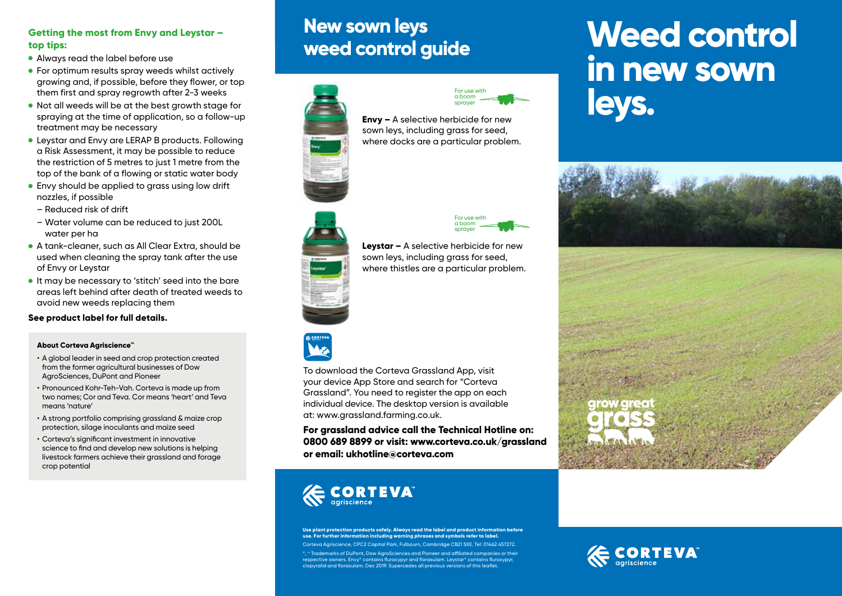#### **Getting the most from Envy and Leystar – top tips:**

- Always read the label before use
- **For optimum results spray weeds whilst actively** growing and, if possible, before they flower, or top them first and spray regrowth after 2-3 weeks
- Not all weeds will be at the best growth stage for spraying at the time of application, so a follow-up treatment may be necessary
- Leystar and Envy are LERAP B products. Following a Risk Assessment, it may be possible to reduce the restriction of 5 metres to just 1 metre from the top of the bank of a flowing or static water body
- Envy should be applied to grass using low drift nozzles, if possible
- Reduced risk of drift
- Water volume can be reduced to just 200L water per ha
- A tank-cleaner, such as All Clear Extra, should be used when cleaning the spray tank after the use of Envy or Leystar
- It may be necessary to 'stitch' seed into the bare areas left behind after death of treated weeds to avoid new weeds replacing them

#### **See product label for full details.**

#### **About Corteva Agriscience™**

- A global leader in seed and crop protection created from the former agricultural businesses of Dow AgroSciences, DuPont and Pioneer
- Pronounced Kohr-Teh-Vah. Corteva is made up from two names; Cor and Teva. Cor means 'heart' and Teva means 'nature'
- A strong portfolio comprising grassland & maize crop protection, silage inoculants and maize seed
- Corteva's significant investment in innovative science to find and develop new solutions is helping livestock farmers achieve their grassland and forage crop potential

## **New sown leys weed control guide**





**Envy –** A selective herbicide for new sown leys, including grass for seed, where docks are a particular problem.



**Leystar –** A selective herbicide for new sown leys, including grass for seed, where thistles are a particular problem.



To download the Corteva Grassland App, visit your device App Store and search for "Corteva Grassland". You need to register the app on each individual device. The desktop version is available at: www.grassland.farming.co.uk.

**For grassland advice call the Technical Hotline on: 0800 689 8899 or visit: www.corteva.co.uk/grassland or email: ukhotline@corteva.com**



**Use plant protection products safely. Always read the label and product information before use. For further information including warning phrases and symbols refer to label.**  Corteva Agriscience, CPC2 Capital Park, Fulbourn, Cambridge CB21 5XE. Tel: 01462 457272.

ँ, " Trademarks of DuPont, Dow AgroSciences and Pioneer and affiliated companies or their<br>respective owners. Envy" contains fluroxypyr and florasulam. Leystar " contains fluroxypyr,<br>clopyralid and florasulam. Dec 2019. Su

# **Weed control in new sown leys.**